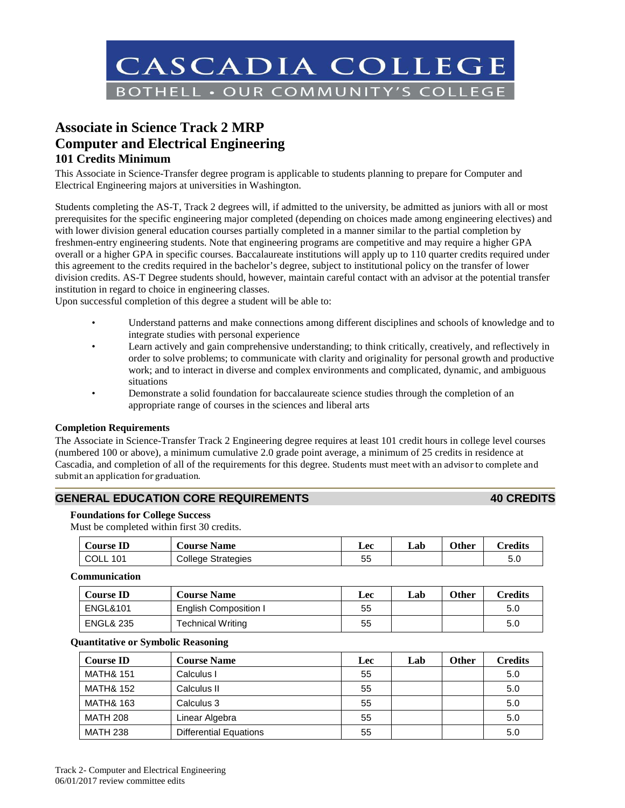

# **Associate in Science Track 2 MRP Computer and Electrical Engineering 101 Credits Minimum**

This Associate in Science-Transfer degree program is applicable to students planning to prepare for Computer and Electrical Engineering majors at universities in Washington.

Students completing the AS-T, Track 2 degrees will, if admitted to the university, be admitted as juniors with all or most prerequisites for the specific engineering major completed (depending on choices made among engineering electives) and with lower division general education courses partially completed in a manner similar to the partial completion by freshmen-entry engineering students. Note that engineering programs are competitive and may require a higher GPA overall or a higher GPA in specific courses. Baccalaureate institutions will apply up to 110 quarter credits required under this agreement to the credits required in the bachelor's degree, subject to institutional policy on the transfer of lower division credits. AS-T Degree students should, however, maintain careful contact with an advisor at the potential transfer institution in regard to choice in engineering classes.

Upon successful completion of this degree a student will be able to:

- Understand patterns and make connections among different disciplines and schools of knowledge and to integrate studies with personal experience
- Learn actively and gain comprehensive understanding; to think critically, creatively, and reflectively in order to solve problems; to communicate with clarity and originality for personal growth and productive work; and to interact in diverse and complex environments and complicated, dynamic, and ambiguous situations
- Demonstrate a solid foundation for baccalaureate science studies through the completion of an appropriate range of courses in the sciences and liberal arts

### **Completion Requirements**

The Associate in Science-Transfer Track 2 Engineering degree requires at least 101 credit hours in college level courses (numbered 100 or above), a minimum cumulative 2.0 grade point average, a minimum of 25 credits in residence at Cascadia, and completion of all of the requirements for this degree. Students must meet with an advisor to complete and submit an application for graduation.

# **GENERAL EDUCATION CORE REQUIREMENTS 40 CREDITS**

### **Foundations for College Success**

Must be completed within first 30 credits.

| Course <b>ID</b> | <b>Course Name</b>        | Lec     | Lab | Other | <b>Predits</b> |
|------------------|---------------------------|---------|-----|-------|----------------|
| COLL<br>101      | <b>College Strategies</b> | 片片<br>ິ |     |       | с с<br>้อ.บ    |

#### **Communication**

| <b>Course ID</b>     | <b>Course Name</b>    | Lec | Lab | Other | Credits |
|----------------------|-----------------------|-----|-----|-------|---------|
| <b>ENGL&amp;101</b>  | English Composition I | 55  |     |       | 5.0     |
| <b>ENGL&amp; 235</b> | Technical Writing     | 55  |     |       | 5.0     |

#### **Quantitative or Symbolic Reasoning**

| <b>Course ID</b>     | <b>Course Name</b>            | Lec | Lab | <b>Other</b> | <b>Credits</b> |
|----------------------|-------------------------------|-----|-----|--------------|----------------|
| <b>MATH&amp; 151</b> | Calculus I                    | 55  |     |              | 5.0            |
| <b>MATH&amp; 152</b> | Calculus II                   | 55  |     |              | 5.0            |
| <b>MATH&amp; 163</b> | Calculus 3                    | 55  |     |              | 5.0            |
| <b>MATH 208</b>      | Linear Algebra                | 55  |     |              | 5.0            |
| <b>MATH 238</b>      | <b>Differential Equations</b> | 55  |     |              | 5.0            |